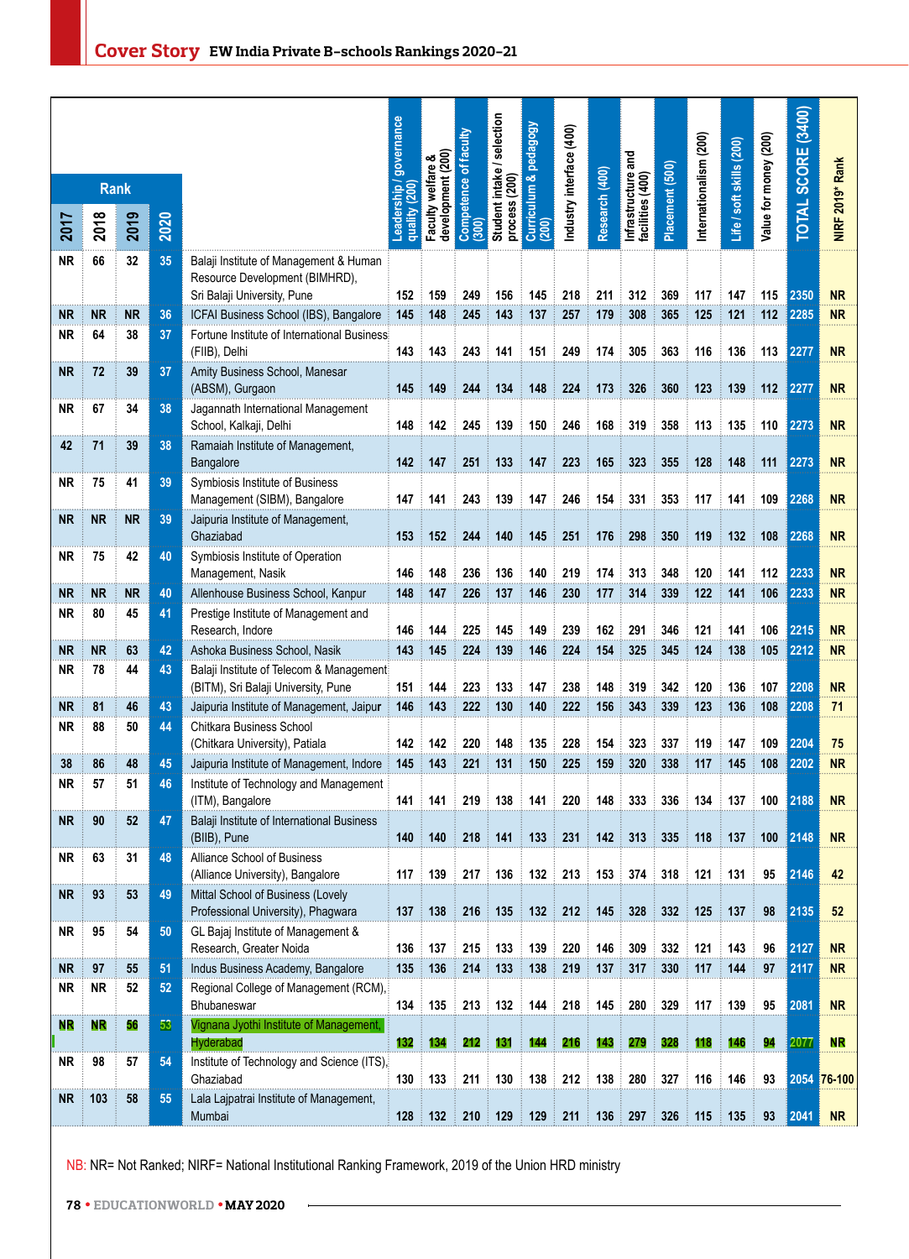|           |           | <b>Rank</b> |      |                                                                                                         | governance             | (200)<br>య                     | of faculty        | selection<br>intake/<br>(200) | pedagogy                         | ndustry interface (400) |                |                                        |                 | nternationalism (200) | Life / soft skills (200) | Value for money (200) | TOTAL SCORE (3400) |                 |
|-----------|-----------|-------------|------|---------------------------------------------------------------------------------------------------------|------------------------|--------------------------------|-------------------|-------------------------------|----------------------------------|-------------------------|----------------|----------------------------------------|-----------------|-----------------------|--------------------------|-----------------------|--------------------|-----------------|
| 2017      | 2018      | 2019        | 2020 |                                                                                                         | Leadership/<br>auality | Faculty welfare<br>development | Competence<br>300 | Student<br>process            | Curriculum &<br>$\overline{200}$ |                         | Research (400) | Infrastructure and<br>facilities (400) | Placement (500) |                       |                          |                       |                    | NIRF 2019* Rank |
| ΝR        | 66        | 32          | 35   | Balaji Institute of Management & Human<br>Resource Development (BIMHRD),<br>Sri Balaji University, Pune | 152                    | 159                            | 249               | 156                           | 145                              | 218                     | 211            | 312                                    | 369             | 117                   | 147                      | 115                   | 2350               | <b>NR</b>       |
| <b>NR</b> | <b>NR</b> | <b>NR</b>   | 36   | ICFAI Business School (IBS), Bangalore                                                                  | 145                    | 148                            | 245               | 143                           | 137                              | 257                     | 179            | 308                                    | 365             | 125                   | 121                      | 112                   | 2285               | <b>NR</b>       |
| ΝR        | 64        | 38          | 37   | Fortune Institute of International Business:<br>(FIIB), Delhi                                           | 143                    | 143                            | 243               | 141                           | 151                              | 249                     | 174            | 305                                    | 363             | 116                   | 136                      | 113                   | 2277               | <b>NR</b>       |
| <b>NR</b> | 72        | 39          | 37   | Amity Business School, Manesar<br>(ABSM), Gurgaon                                                       | 145                    | 149                            | 244               | 134                           | 148                              | 224                     | 173            | 326                                    | 360             | 123                   | 139                      | 112                   | 2277               | <b>NR</b>       |
| NR.       | 67        | 34          | 38   | Jagannath International Management<br>School, Kalkaji, Delhi                                            | 148                    | 142                            | 245               | 139                           | 150                              | 246                     | 168            | 319                                    | 358             | 113                   | 135                      | 110                   | 2273               | <b>NR</b>       |
| 42        | 71        | 39          | 38   | Ramaiah Institute of Management,<br>Bangalore                                                           | 142                    | 147                            | 251               | 133                           | 147                              | 223                     | 165            | 323                                    | 355             | 128                   | 148                      | 111                   | 2273               | <b>NR</b>       |
| NR.       | 75        | 41          | 39   | Symbiosis Institute of Business<br>Management (SIBM), Bangalore                                         | 147                    | 141                            | 243               | 139                           | 147                              | 246                     | 154            | 331                                    | 353             | 117                   | 141                      | 109                   | 2268               | <b>NR</b>       |
| NR        | <b>NR</b> | <b>NR</b>   | 39   | Jaipuria Institute of Management,<br>Ghaziabad                                                          | 153                    | 152                            | 244               | 140                           | 145                              | 251                     | 176            | 298                                    | 350             | 119                   | 132                      | 108                   | 2268               | <b>NR</b>       |
| ΝR        | 75        | 42          | 40   | Symbiosis Institute of Operation<br>Management, Nasik                                                   | 146                    | 148                            | 236               | 136                           | 140                              | 219                     | 174            | 313                                    | 348             | 120                   | 141                      | 112                   | 2233               | <b>NR</b>       |
| <b>NR</b> | <b>NR</b> | <b>NR</b>   | 40   | Allenhouse Business School, Kanpur                                                                      | 148                    | 147                            | 226               | 137                           | 146                              | 230                     | 177            | 314                                    | 339             | 122                   | 141                      | 106                   | 2233               | <b>NR</b>       |
| NR        | 80        | 45          | 41   | Prestige Institute of Management and<br>Research, Indore                                                | 146                    | 144                            | 225               | 145                           | 149                              | 239                     | 162            | 291                                    | 346             | 121                   | 141                      | 106                   | 2215               | <b>NR</b>       |
| <b>NR</b> | <b>NR</b> | 63          | 42   | Ashoka Business School, Nasik                                                                           | 143                    | 145                            | 224               | 139                           | 146                              | 224                     | 154            | 325                                    | 345             | 124                   | 138                      | 105                   | 2212               | <b>NR</b>       |
| NR        | 78        | 44          | 43   | Balaji Institute of Telecom & Management<br>(BITM), Sri Balaji University, Pune                         | 151                    | 144                            | 223               | 133                           | 147                              | 238                     | 148            | 319                                    | 342             | 120                   | 136                      | 107                   | 2208               | <b>NR</b>       |
| <b>NR</b> | 81        | 46          | 43   | Jaipuria Institute of Management, Jaipur                                                                | 146                    | 143                            | 222               | 130                           | 140                              | 222                     | 156            | 343                                    | 339             | 123                   | 136                      | 108                   | 2208               | 71              |
| ΝR        | 88        | 50          | 44   | Chitkara Business School<br>(Chitkara University), Patiala                                              | 142                    | 142                            | 220               | 148                           | 135                              | 228                     | 154            | 323                                    | 337             | 119                   | 147                      | 109                   | 2204               | 75              |
| 38        | 86        | 48          | 45   | Jaipuria Institute of Management, Indore                                                                | 145                    | 143                            | 221               | 131                           | 150                              | 225                     | 159            | 320                                    | 338             | 117                   | 145                      | 108                   | 2202               | <b>NR</b>       |
| NR.       | 57        | 51          | 46   | Institute of Technology and Management<br>(ITM), Bangalore                                              | 141                    | 141                            | 219               | 138                           | 141                              | 220                     | 148            | 333                                    | 336             | 134                   | 137                      | 100                   | 2188               | <b>NR</b>       |
| <b>NR</b> | 90        | 52          | 47   | Balaji Institute of International Business<br>(BIIB), Pune                                              | 140                    | 140                            | 218               | 141                           | 133                              | 231                     | 142            | 313                                    | 335             | 118                   | 137                      | 100                   | 2148               | <b>NR</b>       |
| NR        | 63        | 31          | 48   | Alliance School of Business<br>(Alliance University), Bangalore                                         | 117                    | 139                            | 217               | 136<br>÷                      | 132<br>÷                         | 213                     | 153            | 374                                    | 318             | 121                   | 131                      | 95                    | 2146               | 42              |
| NR.       | 93        | 53          | 49   | Mittal School of Business (Lovely<br>Professional University), Phagwara                                 | 137                    | 138<br>÷                       | 216               | $\frac{1}{2}$ 135             | 132<br>÷                         | 212                     | 145            | 328                                    | 332             | 125                   | 137                      | 98                    | 2135               | 52              |
| NR        | 95        | 54          | 50   | GL Bajaj Institute of Management &<br>Research, Greater Noida                                           | 136                    | $\frac{1}{2}$ 137              | 215               | 133                           | 139<br>÷                         | 220                     | 146            | 309                                    | 332             | 121                   | 143                      | 96                    | 2127               | <b>NR</b>       |
| NR.       | 97        | 55          | 51   | Indus Business Academy, Bangalore                                                                       | 135                    | 136                            | 214               | 133                           | 138                              | 219                     | 137            | 317                                    | 330             | 117                   | 144                      | 97                    | 2117               | <b>NR</b>       |
| NR        | <b>NR</b> | 52          | 52   | Regional College of Management (RCM),<br>Bhubaneswar                                                    | 134                    | $\frac{1}{2}$ 135<br>ŧ         | 213               | $\parallel$ 132<br>÷          | 144                              | 218                     | 145            | 280                                    | 329             | 117                   | 139                      | 95                    | 2081               | <b>NR</b>       |
| NR.       | <b>NR</b> | 56          | 53   | Vignana Jyothi Institute of Management,<br>Hyderabad                                                    | 132                    | <u>134</u>                     | 212               | 131                           | 144                              | 216                     | 143            | 279                                    | 328             | 118                   | 146                      | 94                    | 2077               | <b>NR</b>       |
| NR        | 98        | 57          | 54   | Institute of Technology and Science (ITS).<br>Ghaziabad                                                 |                        | $130 \t{133}$                  | 211               | 130                           | 138                              | 212                     | 138            | 280                                    | 327             | 116                   | 146                      | 93                    |                    | 2054 76-100     |
| NR :      | 103       | 58          | 55   | Lala Lajpatrai Institute of Management,<br>Mumbai                                                       |                        | $128 \pm 132$                  |                   | $210 \div 129$<br>÷           | 129<br>÷                         | 211                     |                | $136 \t397$                            |                 | 326 115 135           |                          | 93                    | 2041               | <b>NR</b>       |

NB: NR= Not Ranked; NIRF= National Institutional Ranking Framework, 2019 of the Union HRD ministry